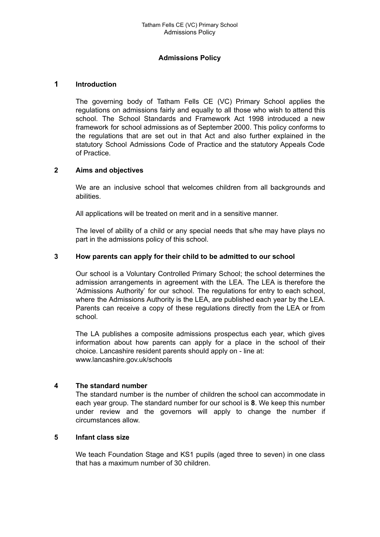### **Admissions Policy**

### **1 Introduction**

The governing body of Tatham Fells CE (VC) Primary School applies the regulations on admissions fairly and equally to all those who wish to attend this school. The School Standards and Framework Act 1998 introduced a new framework for school admissions as of September 2000. This policy conforms to the regulations that are set out in that Act and also further explained in the statutory School Admissions Code of Practice and the statutory Appeals Code of Practice.

### **2 Aims and objectives**

We are an inclusive school that welcomes children from all backgrounds and abilities.

All applications will be treated on merit and in a sensitive manner.

The level of ability of a child or any special needs that s/he may have plays no part in the admissions policy of this school.

### **3 How parents can apply for their child to be admitted to our school**

Our school is a Voluntary Controlled Primary School; the school determines the admission arrangements in agreement with the LEA. The LEA is therefore the 'Admissions Authority' for our school. The regulations for entry to each school, where the Admissions Authority is the LEA, are published each year by the LEA. Parents can receive a copy of these regulations directly from the LEA or from school.

The LA publishes a composite admissions prospectus each year, which gives information about how parents can apply for a place in the school of their choice. Lancashire resident parents should apply on - line at: www.lancashire.gov.uk/schools

### **4 The standard number**

The standard number is the number of children the school can accommodate in each year group. The standard number for our school is **8**. We keep this number under review and the governors will apply to change the number if circumstances allow.

### **5 Infant class size**

We teach Foundation Stage and KS1 pupils (aged three to seven) in one class that has a maximum number of 30 children.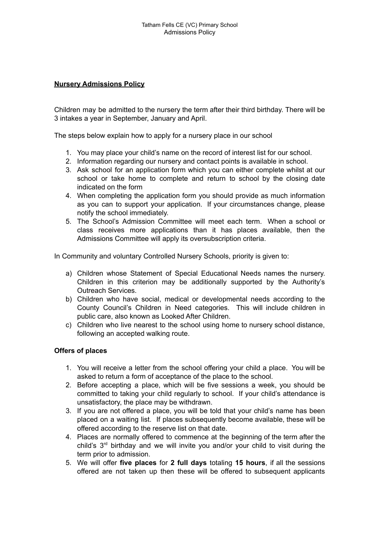## **Nursery Admissions Policy**

Children may be admitted to the nursery the term after their third birthday. There will be 3 intakes a year in September, January and April.

The steps below explain how to apply for a nursery place in our school

- 1. You may place your child's name on the record of interest list for our school.
- 2. Information regarding our nursery and contact points is available in school.
- 3. Ask school for an application form which you can either complete whilst at our school or take home to complete and return to school by the closing date indicated on the form
- 4. When completing the application form you should provide as much information as you can to support your application. If your circumstances change, please notify the school immediately.
- 5. The School's Admission Committee will meet each term. When a school or class receives more applications than it has places available, then the Admissions Committee will apply its oversubscription criteria.

In Community and voluntary Controlled Nursery Schools, priority is given to:

- a) Children whose Statement of Special Educational Needs names the nursery. Children in this criterion may be additionally supported by the Authority's Outreach Services.
- b) Children who have social, medical or developmental needs according to the County Council's Children in Need categories. This will include children in public care, also known as Looked After Children.
- c) Children who live nearest to the school using home to nursery school distance, following an accepted walking route.

# **Offers of places**

- 1. You will receive a letter from the school offering your child a place. You will be asked to return a form of acceptance of the place to the school.
- 2. Before accepting a place, which will be five sessions a week, you should be committed to taking your child regularly to school. If your child's attendance is unsatisfactory, the place may be withdrawn.
- 3. If you are not offered a place, you will be told that your child's name has been placed on a waiting list. If places subsequently become available, these will be offered according to the reserve list on that date.
- 4. Places are normally offered to commence at the beginning of the term after the child's 3 rd birthday and we will invite you and/or your child to visit during the term prior to admission.
- 5. We will offer **five places** for **2 full days** totaling **15 hours**, if all the sessions offered are not taken up then these will be offered to subsequent applicants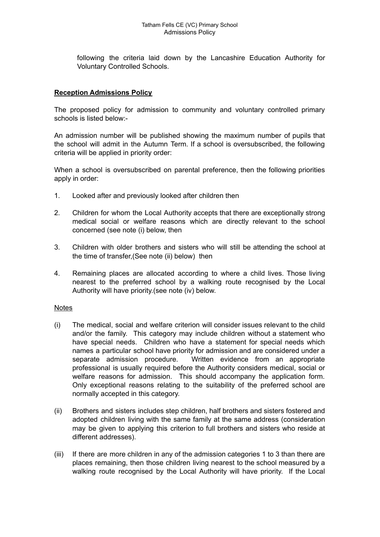following the criteria laid down by the Lancashire Education Authority for Voluntary Controlled Schools.

## **Reception Admissions Policy**

The proposed policy for admission to community and voluntary controlled primary schools is listed below:-

An admission number will be published showing the maximum number of pupils that the school will admit in the Autumn Term. If a school is oversubscribed, the following criteria will be applied in priority order:

When a school is oversubscribed on parental preference, then the following priorities apply in order:

- 1. Looked after and previously looked after children then
- 2. Children for whom the Local Authority accepts that there are exceptionally strong medical social or welfare reasons which are directly relevant to the school concerned (see note (i) below, then
- 3. Children with older brothers and sisters who will still be attending the school at the time of transfer,(See note (ii) below) then
- 4. Remaining places are allocated according to where a child lives. Those living nearest to the preferred school by a walking route recognised by the Local Authority will have priority.(see note (iv) below.

### Notes

- (i) The medical, social and welfare criterion will consider issues relevant to the child and/or the family. This category may include children without a statement who have special needs. Children who have a statement for special needs which names a particular school have priority for admission and are considered under a separate admission procedure. Written evidence from an appropriate professional is usually required before the Authority considers medical, social or welfare reasons for admission. This should accompany the application form. Only exceptional reasons relating to the suitability of the preferred school are normally accepted in this category.
- (ii) Brothers and sisters includes step children, half brothers and sisters fostered and adopted children living with the same family at the same address (consideration may be given to applying this criterion to full brothers and sisters who reside at different addresses).
- (iii) If there are more children in any of the admission categories 1 to 3 than there are places remaining, then those children living nearest to the school measured by a walking route recognised by the Local Authority will have priority. If the Local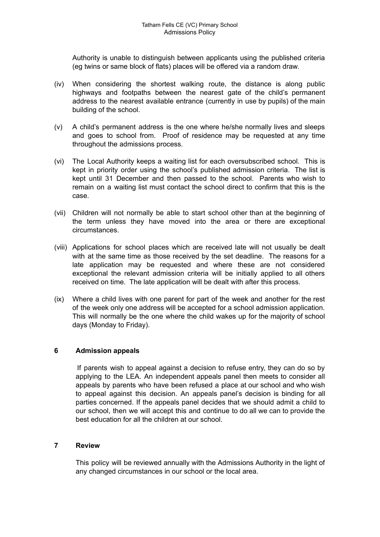Authority is unable to distinguish between applicants using the published criteria (eg twins or same block of flats) places will be offered via a random draw.

- (iv) When considering the shortest walking route, the distance is along public highways and footpaths between the nearest gate of the child's permanent address to the nearest available entrance (currently in use by pupils) of the main building of the school.
- (v) A child's permanent address is the one where he/she normally lives and sleeps and goes to school from. Proof of residence may be requested at any time throughout the admissions process.
- (vi) The Local Authority keeps a waiting list for each oversubscribed school. This is kept in priority order using the school's published admission criteria. The list is kept until 31 December and then passed to the school. Parents who wish to remain on a waiting list must contact the school direct to confirm that this is the case.
- (vii) Children will not normally be able to start school other than at the beginning of the term unless they have moved into the area or there are exceptional circumstances.
- (viii) Applications for school places which are received late will not usually be dealt with at the same time as those received by the set deadline. The reasons for a late application may be requested and where these are not considered exceptional the relevant admission criteria will be initially applied to all others received on time. The late application will be dealt with after this process.
- (ix) Where a child lives with one parent for part of the week and another for the rest of the week only one address will be accepted for a school admission application. This will normally be the one where the child wakes up for the majority of school days (Monday to Friday).

### **6 Admission appeals**

If parents wish to appeal against a decision to refuse entry, they can do so by applying to the LEA. An independent appeals panel then meets to consider all appeals by parents who have been refused a place at our school and who wish to appeal against this decision. An appeals panel's decision is binding for all parties concerned. If the appeals panel decides that we should admit a child to our school, then we will accept this and continue to do all we can to provide the best education for all the children at our school.

### **7 Review**

This policy will be reviewed annually with the Admissions Authority in the light of any changed circumstances in our school or the local area.